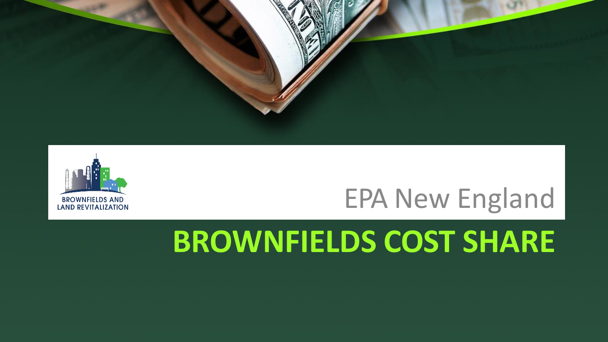



#### EPA New England

### **BROWNFIELDS COST SHARE**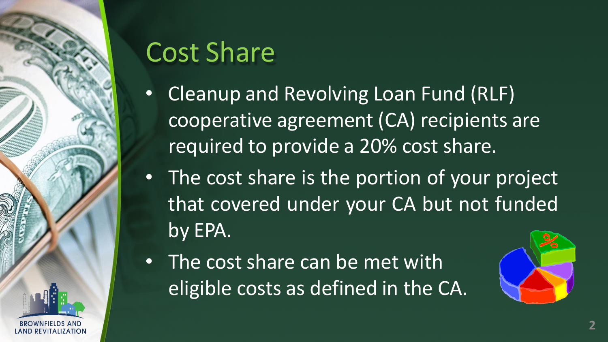

#### Cost Share

- Cleanup and Revolving Loan Fund (RLF) cooperative agreement (CA) recipients are required to provide a 20% cost share.
- The cost share is the portion of your project that covered under your CA but not funded by EPA.
- The cost share can be met with eligible costs as defined in the CA.

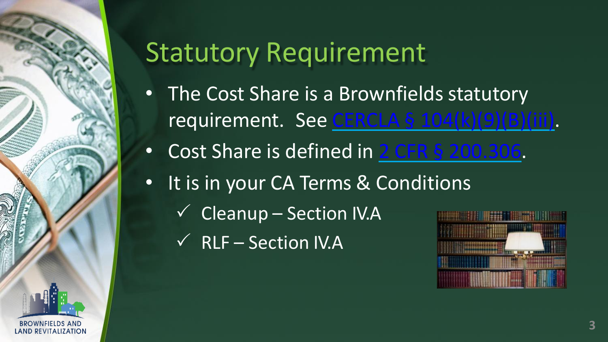

#### Statutory Requirement

- The Cost Share is a Brownfields statutory requirement. See CERCLA § [104\(k\)\(9\)\(B\)\(iii\).](https://www.govinfo.gov/content/pkg/PLAW-107publ118/html/PLAW-107publ118.htm)
- Cost Share is defined in 2 CFR [§ 200.306.](https://www.govinfo.gov/content/pkg/CFR-2016-title2-vol1/pdf/CFR-2016-title2-vol1-sec200-306.pdf)
- It is in your CA Terms & Conditions
	- $\checkmark$  Cleanup Section IV.A
	- $\checkmark$  RLF Section IV.A

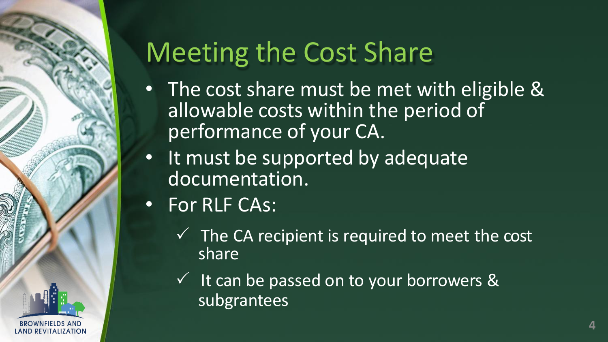

## Meeting the Cost Share

- The cost share must be met with eligible & allowable costs within the period of performance of your CA.
- It must be supported by adequate documentation.
- For RLF CAs:
	- $\checkmark$  The CA recipient is required to meet the cost share
	- $\checkmark$  It can be passed on to your borrowers & subgrantees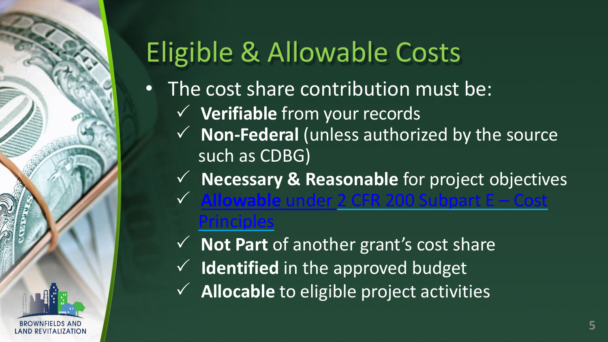# Eligible & Allowable Costs

- The cost share contribution must be:
	- **Verifiable** from your records
	- **Non-Federal** (unless authorized by the source such as CDBG)
	- **Necessary & Reasonable** for project objectives
	- **Howable** under 2 CFR 200 Subpart E Cos **[Principles](https://www.ecfr.gov/cgi-bin/text-idx?node=2%3A1.1.2.2.1.5&rgn=div6)** 
		- **Not Part** of another grant's cost share
	- $\checkmark$  **Identified** in the approved budget

REVITALIZATION

 $\checkmark$  **Allocable** to eligible project activities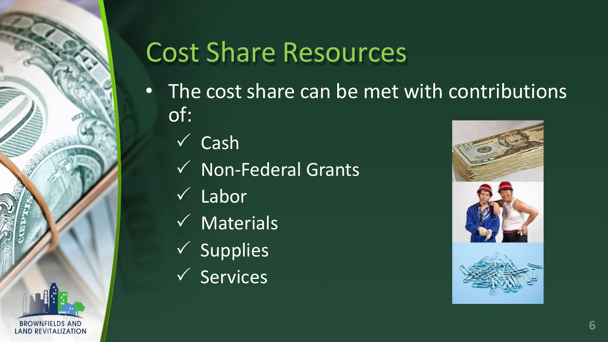

## Cost Share Resources

- The cost share can be met with contributions of:
	- $\checkmark$  Cash
	- $\checkmark$  Non-Federal Grants
	- $\checkmark$  Labor
	- $\sqrt{\phantom{a}}$  Materials
	- $\checkmark$  Supplies
	- $\checkmark$  Services

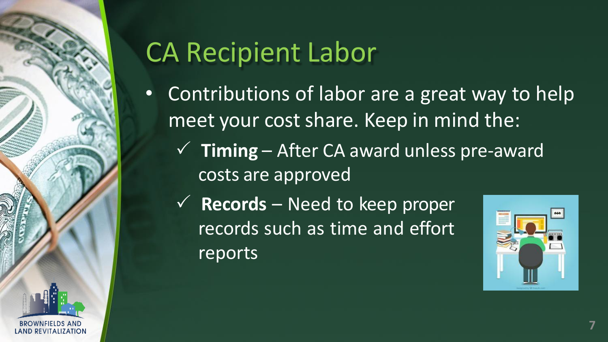

## CA Recipient Labor

- Contributions of labor are a great way to help meet your cost share. Keep in mind the:
	- $\checkmark$  **Timing** After CA award unless pre-award costs are approved
	- $\checkmark$  **Records** Need to keep proper records such as time and effort reports

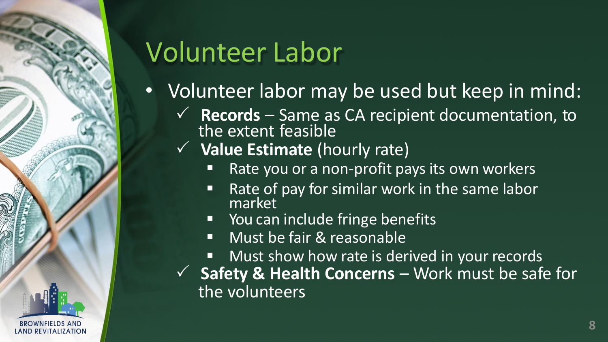

## Volunteer Labor

- Volunteer labor may be used but keep in mind:
	- **Records** Same as CA recipient documentation, to the extent feasible
	- **Value Estimate** (hourly rate)
		- Rate you or a non-profit pays its own workers
		- Rate of pay for similar work in the same labor market
		- You can include fringe benefits
		- **Nust be fair & reasonable**
		- Must show how rate is derived in your records
	- $\checkmark$  **Safety & Health Concerns** Work must be safe for the volunteers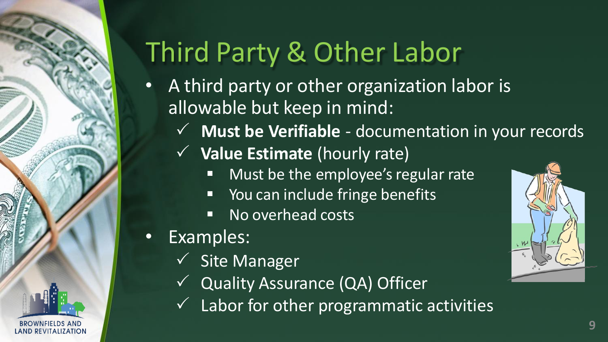

# Third Party & Other Labor

- A third party or other organization labor is allowable but keep in mind:
	- **Must be Verifiable** documentation in your records
	- **Value Estimate** (hourly rate)
		- **Must be the employee's regular rate**
		- **P** You can include fringe benefits
		- **No overhead costs**
- Examples:
	- Site Manager
	- Quality Assurance (QA) Officer
	- Labor for other programmatic activities

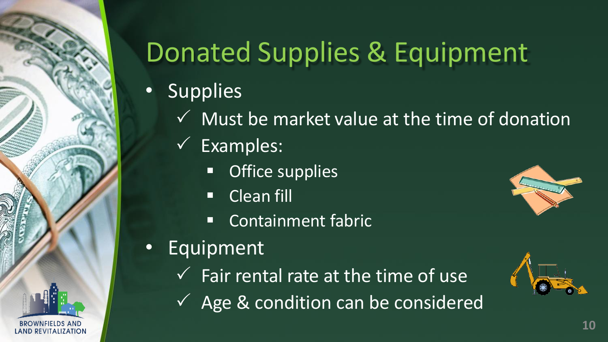

# Donated Supplies & Equipment

- Supplies
	- $\checkmark$  Must be market value at the time of donation
	- Examples:
		- **Office supplies**
		- **Clean fill**
		- **Containment fabric**
- **Equipment** 
	- $\checkmark$  Fair rental rate at the time of use
	- $\checkmark$  Age & condition can be considered



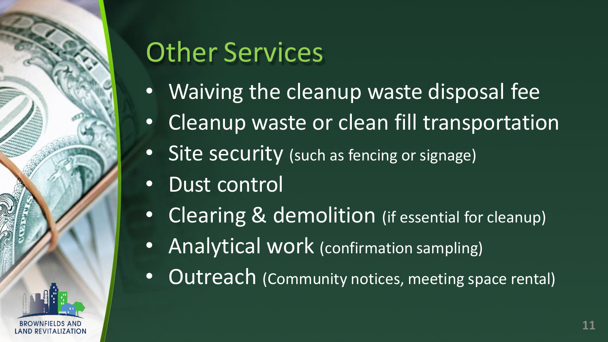

## Other Services

- Waiving the cleanup waste disposal fee
- Cleanup waste or clean fill transportation
- Site security (such as fencing or signage)
- Dust control
- Clearing & demolition (if essential for cleanup)
- Analytical work (confirmation sampling)
- Outreach (Community notices, meeting space rental)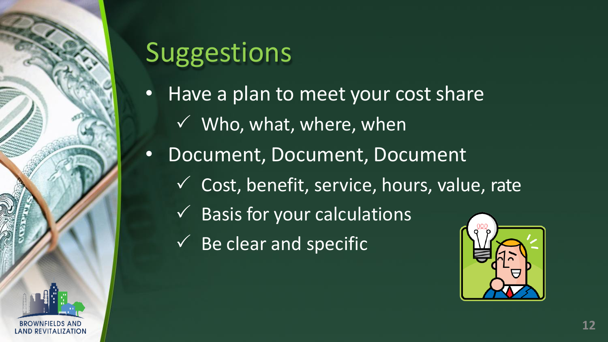

#### Suggestions

- Have a plan to meet your cost share
	- $\sqrt{ }$  Who, what, where, when
- Document, Document, Document
	- Cost, benefit, service, hours, value, rate
		- Basis for your calculations
	- $\checkmark$  Be clear and specific

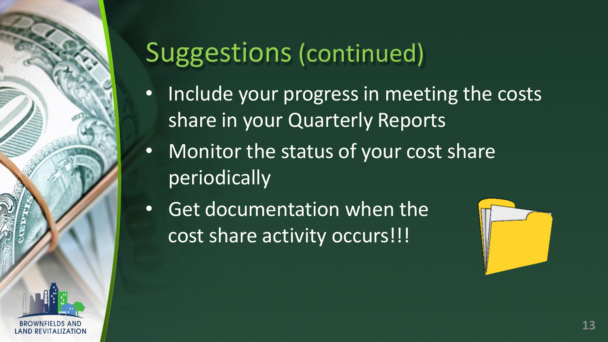

#### Suggestions (continued)

- Include your progress in meeting the costs share in your Quarterly Reports
- Monitor the status of your cost share periodically
- Get documentation when the cost share activity occurs!!!